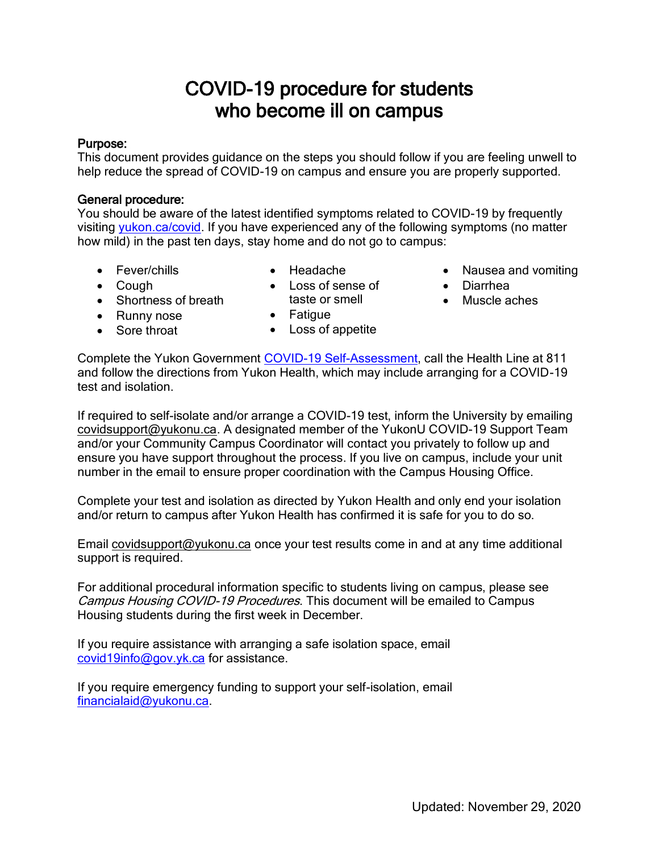# COVID-19 procedure for students who become ill on campus

#### Purpose:

This document provides guidance on the steps you should follow if you are feeling unwell to help reduce the spread of COVID-19 on campus and ensure you are properly supported.

## General procedure:

You should be aware of the latest identified symptoms related to COVID-19 by frequently visiting [yukon.ca/covid.](http://www.yukon.ca/covid) If you have experienced any of the following symptoms (no matter how mild) in the past ten days, stay home and do not go to campus:

- Fever/chills
- Headache
- Cough
- Shortness of breath
- Loss of sense of taste or smell
	-
- Fatigue
- Nausea and vomiting
- Diarrhea
- Muscle aches

- Runny nose • Sore throat
- Loss of appetite

Complete the Yukon Government [COVID-19 Self-Assessment,](https://service.yukon.ca/en/covid-19-self-assessment/) call the Health Line at 811 and follow the directions from Yukon Health, which may include arranging for a COVID-19 test and isolation.

If required to self-isolate and/or arrange a COVID-19 test, inform the University by emailing [covidsupport@yukonu.ca.](mailto:covidsupport@yukonu.ca) A designated member of the YukonU COVID-19 Support Team and/or your Community Campus Coordinator will contact you privately to follow up and ensure you have support throughout the process. If you live on campus, include your unit number in the email to ensure proper coordination with the Campus Housing Office.

Complete your test and isolation as directed by Yukon Health and only end your isolation and/or return to campus after Yukon Health has confirmed it is safe for you to do so.

Email [covidsupport@yukonu.ca](mailto:covidsupport@yukonu.ca) once your test results come in and at any time additional support is required.

For additional procedural information specific to students living on campus, please see Campus Housing COVID-19 Procedures. This document will be emailed to Campus Housing students during the first week in December.

If you require assistance with arranging a safe isolation space, email [covid19info@gov.yk.ca](mailto:covid19info@gov.yk.ca) for assistance.

If you require emergency funding to support your self-isolation, email [financialaid@yukonu.ca.](mailto:financialaid@yukonu.ca)